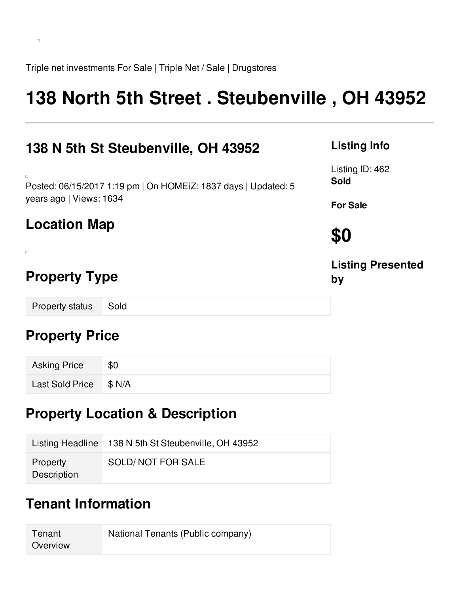Triple net investments For Sale | Triple Net / Sale | Drugstores

# **138 North 5th Street . Steubenville , OH 43952**

| 138 N 5th St Steubenville, OH 43952                                                                 |
|-----------------------------------------------------------------------------------------------------|
| $\Box$<br>Posted: 06/15/2017 1:19 pm   On HOMEIZ: 1837 days   Updated: 5<br>years ago   Views: 1634 |
| <b>Location Map</b>                                                                                 |
| п                                                                                                   |
| <b>Property Type</b>                                                                                |

Property status Sold

### **Property Price**

| <b>Asking Price</b>    | \$0 |
|------------------------|-----|
| Last Sold Price \$ N/A |     |

## **Property Location & Description**

|                         | Listing Headline 138 N 5th St Steubenville, OH 43952 |
|-------------------------|------------------------------------------------------|
| Property<br>Description | SOLD/NOT FOR SALE                                    |

## **Tenant Information**

**Tenant Overview** National Tenants (Public company)

#### **Listing Info**

Listing ID: 462 **Sold**

**For Sale**

**\$0**

**Listing Presented by**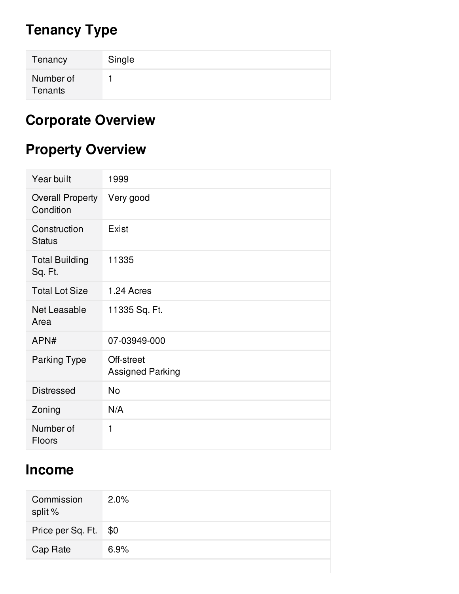## **Tenancy Type**

| Tenancy              | Single |
|----------------------|--------|
| Number of<br>Tenants |        |

## **Corporate Overview**

## **Property Overview**

| Year built                           | 1999                                  |
|--------------------------------------|---------------------------------------|
| <b>Overall Property</b><br>Condition | Very good                             |
| Construction<br><b>Status</b>        | Exist                                 |
| <b>Total Building</b><br>Sq. Ft.     | 11335                                 |
| <b>Total Lot Size</b>                | 1.24 Acres                            |
| Net Leasable<br>Area                 | 11335 Sq. Ft.                         |
| APN#                                 | 07-03949-000                          |
| <b>Parking Type</b>                  | Off-street<br><b>Assigned Parking</b> |
| <b>Distressed</b>                    | No                                    |
| Zoning                               | N/A                                   |
| Number of<br><b>Floors</b>           | 1                                     |

## **Income**

| Commission<br>split % | 2.0% |
|-----------------------|------|
| Price per Sq. Ft. \$0 |      |
| Cap Rate              | 6.9% |
|                       |      |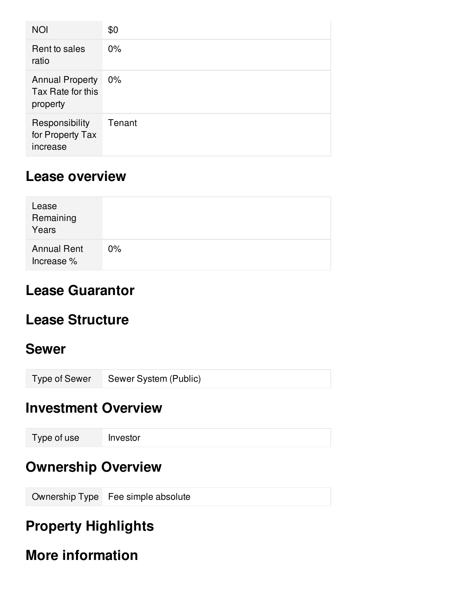| <b>NOI</b>                                              | \$0    |
|---------------------------------------------------------|--------|
| Rent to sales<br>ratio                                  | $0\%$  |
| <b>Annual Property</b><br>Tax Rate for this<br>property | $0\%$  |
| Responsibility<br>for Property Tax<br>increase          | Tenant |

#### **Lease overview**

| Lease<br>Remaining<br>Years      |       |
|----------------------------------|-------|
| <b>Annual Rent</b><br>Increase % | $0\%$ |

### **Lease Guarantor**

## **Lease Structure**

#### **Sewer**

Type of Sewer Sewer System (Public)

#### **Investment Overview**

### **Ownership Overview**

Ownership Type Fee simple absolute

## **Property Highlights**

## **More information**